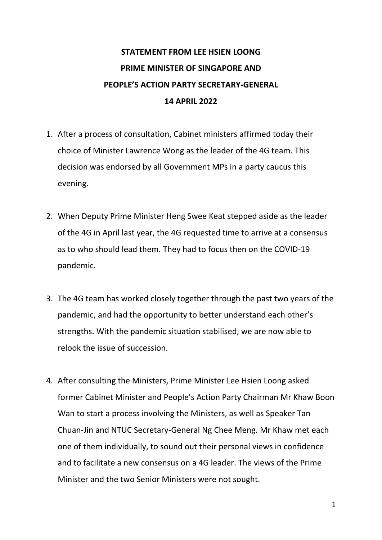## **STATEMENT FROM LEE HSIEN LOONG PRIME MINISTER OF SINGAPORE AND PEOPLE'S ACTION PARTY SECRETARY-GENERAL 14 APRIL 2022**

- 1. After a process of consultation, Cabinet ministers affirmed today their choice of Minister Lawrence Wong as the leader of the 4G team. This decision was endorsed by all Government MPs in a party caucus this evening.
- 2. When Deputy Prime Minister Heng Swee Keat stepped aside as the leader of the 4G in April last year, the 4G requested time to arrive at a consensus as to who should lead them. They had to focus then on the COVID-19 pandemic.
- 3. The 4G team has worked closely together through the past two years of the pandemic, and had the opportunity to better understand each other's strengths. With the pandemic situation stabilised, we are now able to relook the issue of succession.
- 4. After consulting the Ministers, Prime Minister Lee Hsien Loong asked former Cabinet Minister and People's Action Party Chairman Mr Khaw Boon Wan to start a process involving the Ministers, as well as Speaker Tan Chuan-Jin and NTUC Secretary-General Ng Chee Meng. Mr Khaw met each one of them individually, to sound out their personal views in confidence and to facilitate a new consensus on a 4G leader. The views of the Prime Minister and the two Senior Ministers were not sought.